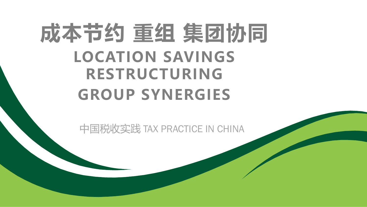# **成本节约 重组 集团协同 LOCATION SAVINGS RESTRUCTURING GROUP SYNERGIES**

中国税收实践 TAX PRACTICE IN CHINA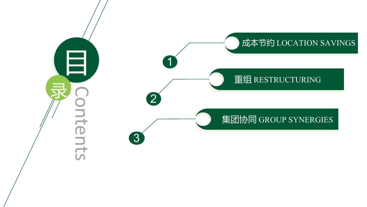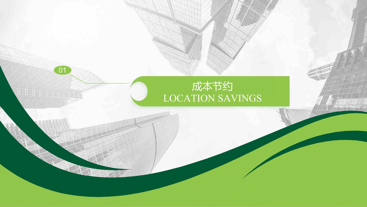# 01 成本节约 LOCATION SAVINGS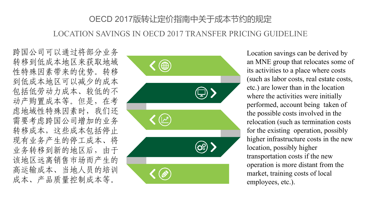# OECD 2017版转让定价指南中关于成本节约的规定 LOCATION SAVINGS IN OECD 2017 TRANSFER PRICING GUIDELINE

跨国公司可以通过将部分业务 转移到低成本地区来获取地域 性特殊因素带来的优势。转移 到低成本地区可以减少的成本 包括低劳动力成本、较低的不 动产购置成本等。但是,在考 虑地域性特殊因素时,我们还 需要考虑跨国公司增加的业务 转移成本,这些成本包括停止 现有业务产生的停工成本、将 业务转移到新的地区后,由于 该地区远离销售市场而产生的 高运输成本、当地人员的培训 成本、产品质量控制成本等。



Location savings can be derived by an MNE group that relocates some of its activities to a place where costs (such as labor costs, real estate costs, etc.) are lower than in the location where the activities were initially performed, account being taken of the possible costs involved in the relocation (such as termination costs for the existing operation, possibly higher infrastructure costs in the new location, possibly higher transportation costs if the new operation is more distant from the market, training costs of local employees, etc.).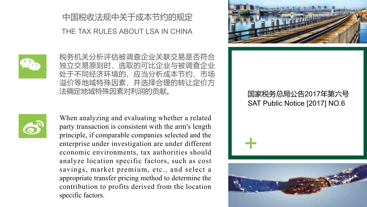# 中国税收法规中关于成本节约的规定

#### THE TAX RULES ABOUT LSA IN CHINA



税务机关分析评估被调查企业关联交易是否符合 独立交易原则时,选取的可比企业与被调查企业 处于不同经济环境的,应当分析成本节约、市场 溢价等地域特殊因素,并选择合理的转让定价方 法确定地域特殊因素对利润的贡献。



When analyzing and evaluating whether a related party transaction is consistent with the arm's length principle, if comparable companies selected and the enterprise under investigation are under different economic environments, tax authorities should analyze location specific factors, such as cost savings, market premium, etc., and select a appropriate transfer pricing method to determine the contribution to profits derived from the location specific factors.



## 国家税务总局公告2017年第六号 SAT Public Notice [2017] NO.6

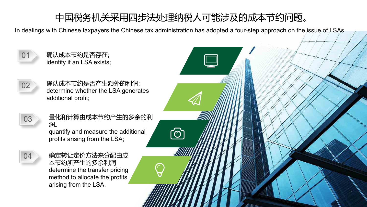# 中国税务机关采用四步法处理纳税人可能涉及的成本节约问题。

In dealings with Chinese taxpayers the Chinese tax administration has adopted a four-step approach on the issue of LSAs

ॎ

- 01 确认成本节约是否存在; identify if an LSA exists;
- 02 确认成本节约是否产生额外的利润; determine whether the LSA generates additional profit;
- 

03 量化和计算由成本节约产生的多余的利 润。 quantify and measure the additional

profits arising from the LSA;

04 确定转让定价方法来分配由成 本节约所产生的多余利润 determine the transfer pricing method to allocate the profits arising from the LSA.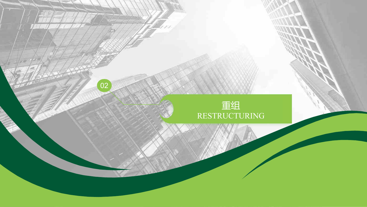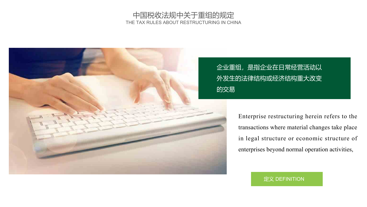#### 中国税收法规中关于重组的规定 THE TAX RULES ABOUT RESTRUCTURING IN CHINA



# 企业重组,是指企业在日常经营活动以 外发生的法律结构或经济结构重大改变 的交易

Enterprise restructuring herein refers to the transactions where material changes take place in legal structure or economic structure of enterprises beyond normal operation activities,

定义 DEFINITION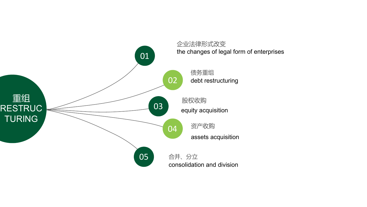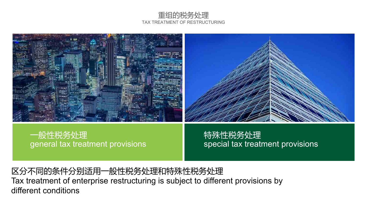#### 重组的税务处理 TAX TREATMENT OF RESTRUCTURING



#### general tax treatment provisions 一般性税务处理

special tax treatment provisions 特殊性税务处理

区分不同的条件分别适用一般性税务处理和特殊性税务处理 Tax treatment of enterprise restructuring is subject to different provisions by different conditions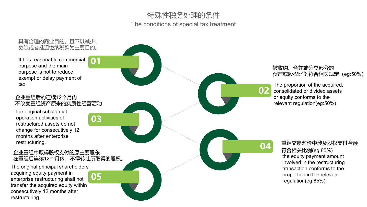#### 特殊性税务处理的条件 The conditions of special tax treatment

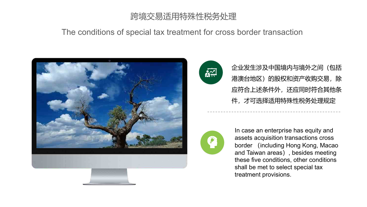# 跨境交易适用特殊性税务处理

#### The conditions of special tax treatment for cross border transaction





企业发生涉及中国境内与境外之间(包括 港澳台地区)的股权和资产收购交易,除 应符合上述条件外,还应同时符合其他条 件,才可选择适用特殊性税务处理规定



In case an enterprise has equity and assets acquisition transactions cross border (including Hong Kong, Macao and Taiwan areas), besides meeting these five conditions, other conditions shall be met to select special tax treatment provisions.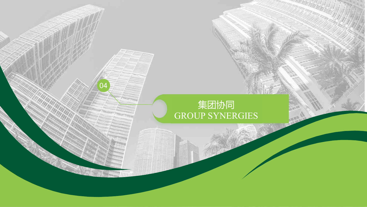# 集团协同 GROUP SYNERGIES

04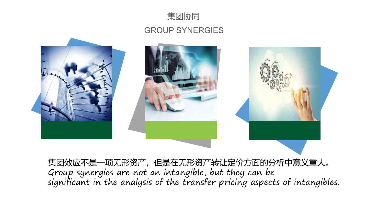

#### GROUP SYNERGIES



集团效应不是一项无形资产,但是在无形资产转让定价方面的分析中意义重大。 Group synergies are not an intangible, but they can be significant in the analysis of the transfer pricing aspects of intangibles.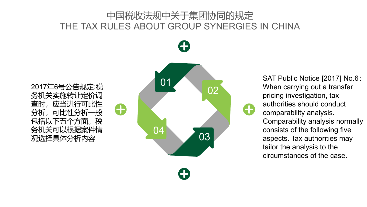# 中国税收法规中关于集团协同的规定 THE TAX RULES ABOUT GROUP SYNERGIES IN CHINA



SAT Public Notice [2017] No.6: When carrying out a transfer pricing investigation, tax authorities should conduct comparability analysis. Comparability analysis normally consists of the following five aspects. Tax authorities may tailor the analysis to the circumstances of the case.

务机关实施转让定价调 查时,应当进行可比性 分析,可比性分析一般 包括以下五个方面。税 务机关可以根据案件情 况选择具体分析内容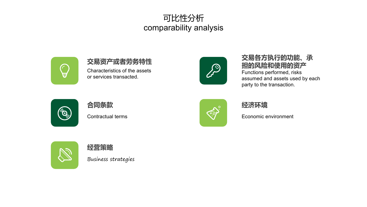# 可比性分析 comparability analysis



#### **交易资产或者劳务特性** Characteristics of the assets or services transacted.



#### **交易各方执行的功能、承 担的风险和使用的资产** Functions performed, risks assumed and assets used by each party to the transaction.



## **合同条款** Contractual terms



#### **经济环境**

Economic environment



**经营策略** Business strategies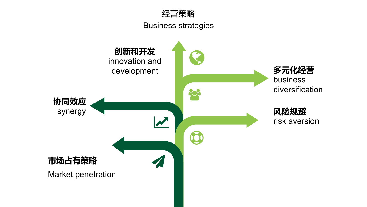